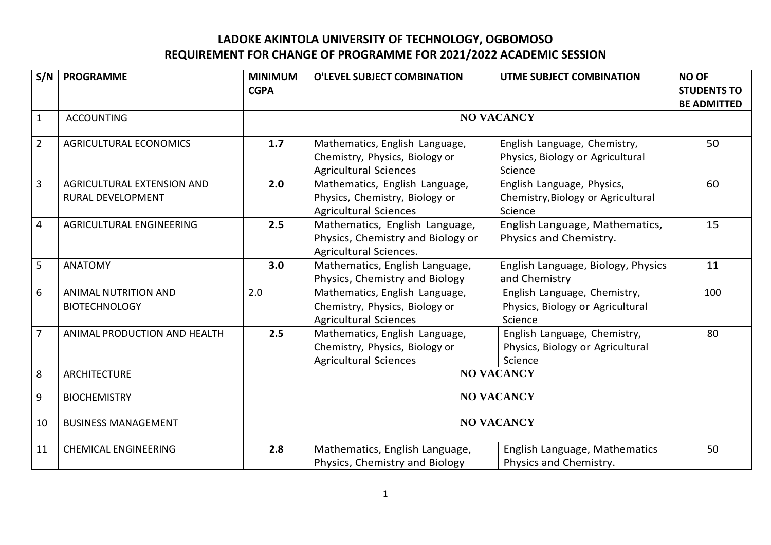## **LADOKE AKINTOLA UNIVERSITY OF TECHNOLOGY, OGBOMOSO REQUIREMENT FOR CHANGE OF PROGRAMME FOR 2021/2022 ACADEMIC SESSION**

| S/N            | <b>PROGRAMME</b>                                    | <b>MINIMUM</b><br><b>CGPA</b> | O'LEVEL SUBJECT COMBINATION                                                                      | <b>UTME SUBJECT COMBINATION</b>                                             | <b>NO OF</b><br><b>STUDENTS TO</b><br><b>BE ADMITTED</b> |
|----------------|-----------------------------------------------------|-------------------------------|--------------------------------------------------------------------------------------------------|-----------------------------------------------------------------------------|----------------------------------------------------------|
| $\mathbf{1}$   | <b>ACCOUNTING</b>                                   | <b>NO VACANCY</b>             |                                                                                                  |                                                                             |                                                          |
| $\overline{2}$ | <b>AGRICULTURAL ECONOMICS</b>                       | 1.7                           | Mathematics, English Language,<br>Chemistry, Physics, Biology or<br><b>Agricultural Sciences</b> | English Language, Chemistry,<br>Physics, Biology or Agricultural<br>Science | 50                                                       |
| $\overline{3}$ | AGRICULTURAL EXTENSION AND<br>RURAL DEVELOPMENT     | 2.0                           | Mathematics, English Language,<br>Physics, Chemistry, Biology or<br><b>Agricultural Sciences</b> | English Language, Physics,<br>Chemistry, Biology or Agricultural<br>Science | 60                                                       |
| $\overline{4}$ | AGRICULTURAL ENGINEERING                            | 2.5                           | Mathematics, English Language,<br>Physics, Chemistry and Biology or<br>Agricultural Sciences.    | English Language, Mathematics,<br>Physics and Chemistry.                    | 15                                                       |
| $5\phantom{.}$ | <b>ANATOMY</b>                                      | 3.0                           | Mathematics, English Language,<br>Physics, Chemistry and Biology                                 | English Language, Biology, Physics<br>and Chemistry                         | 11                                                       |
| $6\phantom{1}$ | <b>ANIMAL NUTRITION AND</b><br><b>BIOTECHNOLOGY</b> | 2.0                           | Mathematics, English Language,<br>Chemistry, Physics, Biology or<br><b>Agricultural Sciences</b> | English Language, Chemistry,<br>Physics, Biology or Agricultural<br>Science | 100                                                      |
| $\overline{7}$ | ANIMAL PRODUCTION AND HEALTH                        | 2.5                           | Mathematics, English Language,<br>Chemistry, Physics, Biology or<br><b>Agricultural Sciences</b> | English Language, Chemistry,<br>Physics, Biology or Agricultural<br>Science | 80                                                       |
| 8              | <b>ARCHITECTURE</b>                                 | <b>NO VACANCY</b>             |                                                                                                  |                                                                             |                                                          |
| 9              | <b>BIOCHEMISTRY</b>                                 | <b>NO VACANCY</b>             |                                                                                                  |                                                                             |                                                          |
| 10             | <b>BUSINESS MANAGEMENT</b>                          | <b>NO VACANCY</b>             |                                                                                                  |                                                                             |                                                          |
| 11             | <b>CHEMICAL ENGINEERING</b>                         | 2.8                           | Mathematics, English Language,<br>Physics, Chemistry and Biology                                 | English Language, Mathematics<br>Physics and Chemistry.                     | 50                                                       |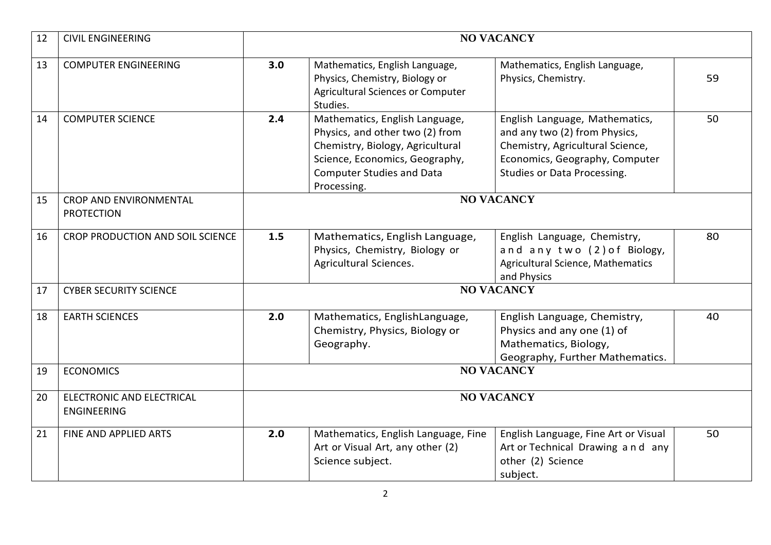| 12 | <b>CIVIL ENGINEERING</b>                           | <b>NO VACANCY</b> |                                                                                                                                                                                            |                                                                                                                                                                      |    |
|----|----------------------------------------------------|-------------------|--------------------------------------------------------------------------------------------------------------------------------------------------------------------------------------------|----------------------------------------------------------------------------------------------------------------------------------------------------------------------|----|
| 13 | <b>COMPUTER ENGINEERING</b>                        | 3.0               | Mathematics, English Language,<br>Physics, Chemistry, Biology or<br><b>Agricultural Sciences or Computer</b><br>Studies.                                                                   | Mathematics, English Language,<br>Physics, Chemistry.                                                                                                                | 59 |
| 14 | <b>COMPUTER SCIENCE</b>                            | 2.4               | Mathematics, English Language,<br>Physics, and other two (2) from<br>Chemistry, Biology, Agricultural<br>Science, Economics, Geography,<br><b>Computer Studies and Data</b><br>Processing. | English Language, Mathematics,<br>and any two (2) from Physics,<br>Chemistry, Agricultural Science,<br>Economics, Geography, Computer<br>Studies or Data Processing. | 50 |
| 15 | <b>CROP AND ENVIRONMENTAL</b><br><b>PROTECTION</b> | <b>NO VACANCY</b> |                                                                                                                                                                                            |                                                                                                                                                                      |    |
| 16 | <b>CROP PRODUCTION AND SOIL SCIENCE</b>            | 1.5               | Mathematics, English Language,<br>Physics, Chemistry, Biology or<br>Agricultural Sciences.                                                                                                 | English Language, Chemistry,<br>and any two (2) of Biology,<br>Agricultural Science, Mathematics<br>and Physics                                                      | 80 |
| 17 | <b>CYBER SECURITY SCIENCE</b>                      | <b>NO VACANCY</b> |                                                                                                                                                                                            |                                                                                                                                                                      |    |
| 18 | <b>EARTH SCIENCES</b>                              | 2.0               | Mathematics, EnglishLanguage,<br>Chemistry, Physics, Biology or<br>Geography.                                                                                                              | English Language, Chemistry,<br>Physics and any one (1) of<br>Mathematics, Biology,<br>Geography, Further Mathematics.                                               | 40 |
| 19 | <b>ECONOMICS</b>                                   | <b>NO VACANCY</b> |                                                                                                                                                                                            |                                                                                                                                                                      |    |
| 20 | ELECTRONIC AND ELECTRICAL<br><b>ENGINEERING</b>    | <b>NO VACANCY</b> |                                                                                                                                                                                            |                                                                                                                                                                      |    |
| 21 | FINE AND APPLIED ARTS                              | 2.0               | Mathematics, English Language, Fine<br>Art or Visual Art, any other (2)<br>Science subject.                                                                                                | English Language, Fine Art or Visual<br>Art or Technical Drawing and any<br>other (2) Science<br>subject.                                                            | 50 |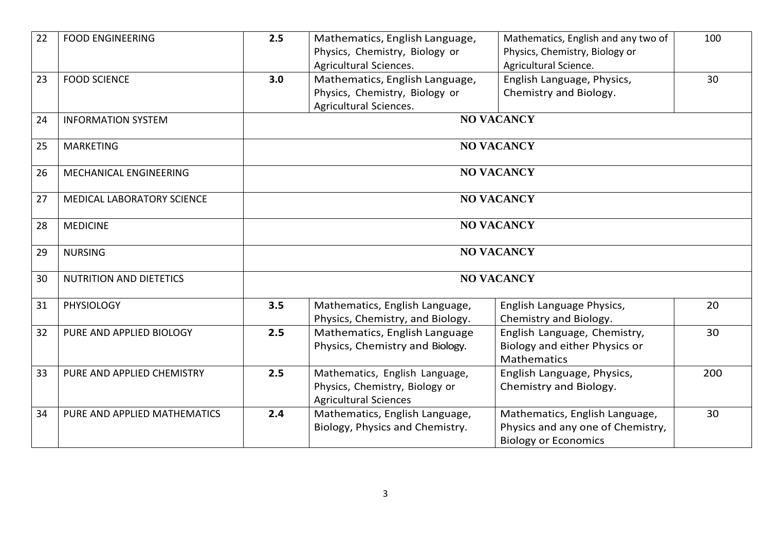| 22 | <b>FOOD ENGINEERING</b>           | 2.5               | Mathematics, English Language,<br>Physics, Chemistry, Biology or<br>Agricultural Sciences.       | Mathematics, English and any two of<br>Physics, Chemistry, Biology or<br>Agricultural Science.     | 100 |
|----|-----------------------------------|-------------------|--------------------------------------------------------------------------------------------------|----------------------------------------------------------------------------------------------------|-----|
| 23 | <b>FOOD SCIENCE</b>               | 3.0               | Mathematics, English Language,<br>Physics, Chemistry, Biology or<br>Agricultural Sciences.       | English Language, Physics,<br>Chemistry and Biology.                                               | 30  |
| 24 | <b>INFORMATION SYSTEM</b>         | <b>NO VACANCY</b> |                                                                                                  |                                                                                                    |     |
| 25 | <b>MARKETING</b>                  | <b>NO VACANCY</b> |                                                                                                  |                                                                                                    |     |
| 26 | MECHANICAL ENGINEERING            | <b>NO VACANCY</b> |                                                                                                  |                                                                                                    |     |
| 27 | <b>MEDICAL LABORATORY SCIENCE</b> | <b>NO VACANCY</b> |                                                                                                  |                                                                                                    |     |
| 28 | <b>MEDICINE</b>                   | <b>NO VACANCY</b> |                                                                                                  |                                                                                                    |     |
| 29 | <b>NURSING</b>                    | <b>NO VACANCY</b> |                                                                                                  |                                                                                                    |     |
| 30 | <b>NUTRITION AND DIETETICS</b>    | <b>NO VACANCY</b> |                                                                                                  |                                                                                                    |     |
| 31 | <b>PHYSIOLOGY</b>                 | 3.5               | Mathematics, English Language,<br>Physics, Chemistry, and Biology.                               | English Language Physics,<br>Chemistry and Biology.                                                | 20  |
| 32 | PURE AND APPLIED BIOLOGY          | 2.5               | Mathematics, English Language<br>Physics, Chemistry and Biology.                                 | English Language, Chemistry,<br>Biology and either Physics or<br>Mathematics                       | 30  |
| 33 | PURE AND APPLIED CHEMISTRY        | 2.5               | Mathematics, English Language,<br>Physics, Chemistry, Biology or<br><b>Agricultural Sciences</b> | English Language, Physics,<br>Chemistry and Biology.                                               | 200 |
| 34 | PURE AND APPLIED MATHEMATICS      | 2.4               | Mathematics, English Language,<br>Biology, Physics and Chemistry.                                | Mathematics, English Language,<br>Physics and any one of Chemistry,<br><b>Biology or Economics</b> | 30  |